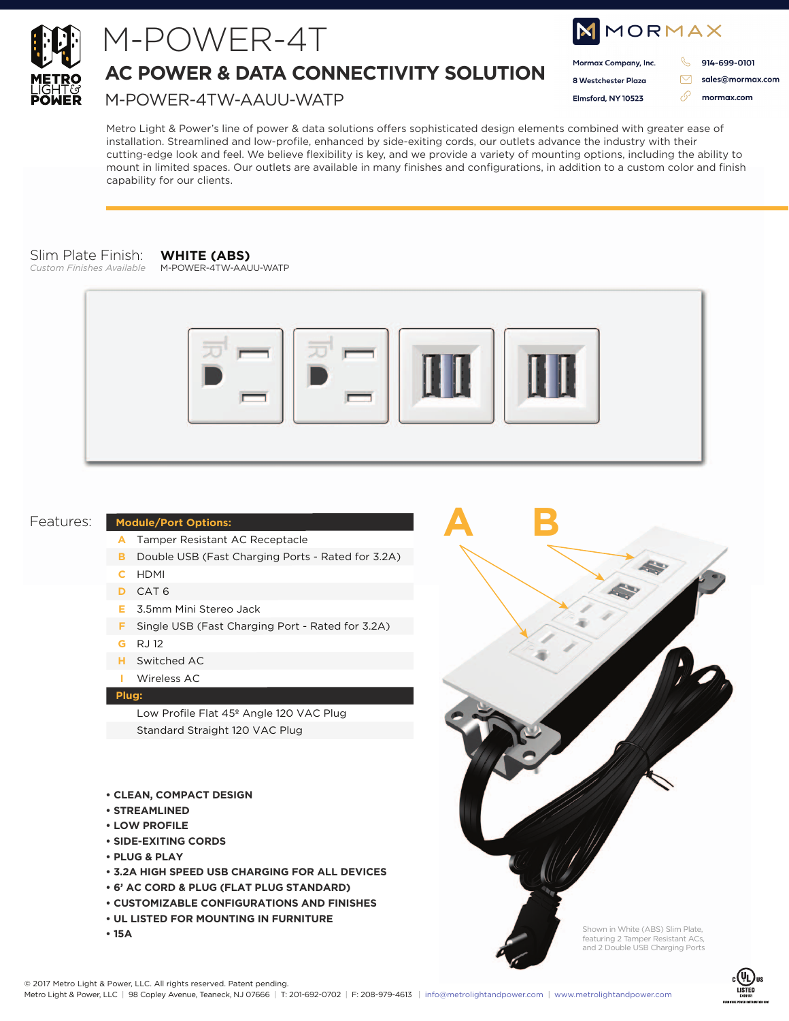

## M-POWER-4T

**AC POWER & DATA CONNECTIVITY SOLUTION**

M-POWER-4TW-AAUU-WATP

| NMORMAX |                      |  |                  |
|---------|----------------------|--|------------------|
|         | Mormax Company, Inc. |  | 914-699-0101     |
|         | 8 Westchester Plaza  |  | sales@mormax.com |
|         | Elmsford, NY 10523   |  | mormax.com       |
|         |                      |  |                  |

Metro Light & Power's line of power & data solutions offers sophisticated design elements combined with greater ease of installation. Streamlined and low-profile, enhanced by side-exiting cords, our outlets advance the industry with their cutting-edge look and feel. We believe flexibility is key, and we provide a variety of mounting options, including the ability to mount in limited spaces. Our outlets are available in many finishes and configurations, in addition to a custom color and finish capability for our clients.

#### Slim Plate Finish:

*Custom Finishes Available*

#### **WHITE (ABS)** M-POWER-4TW-AAUU-WATP



**A B**

#### Features:

#### **Module/Port Options:**

- Tamper Resistant AC Receptacle **A**
- **B** Double USB (Fast Charging Ports Rated for 3.2A)
- HDMI **C**
- CAT 6 **D**
- 3.5mm Mini Stereo Jack **E**
- **F** Single USB (Fast Charging Port Rated for 3.2A)
- RJ 12 **G**
- Switched AC **H**
- Wireless AC **I**

#### **Plug:**

Low Profile Flat 45º Angle 120 VAC Plug Standard Straight 120 VAC Plug

- **CLEAN, COMPACT DESIGN**
- **STREAMLINED**
- **LOW PROFILE**
- **SIDE-EXITING CORDS**
- **PLUG & PLAY**
- **3.2A HIGH SPEED USB CHARGING FOR ALL DEVICES**
- **6' AC CORD & PLUG (FLAT PLUG STANDARD)**
- **CUSTOMIZABLE CONFIGURATIONS AND FINISHES**
- **UL LISTED FOR MOUNTING IN FURNITURE**
- **15A**



Shown in White (ABS) Slim Plate, featuring 2 Tamper Resistant ACs, and 2 Double USB Charging Ports